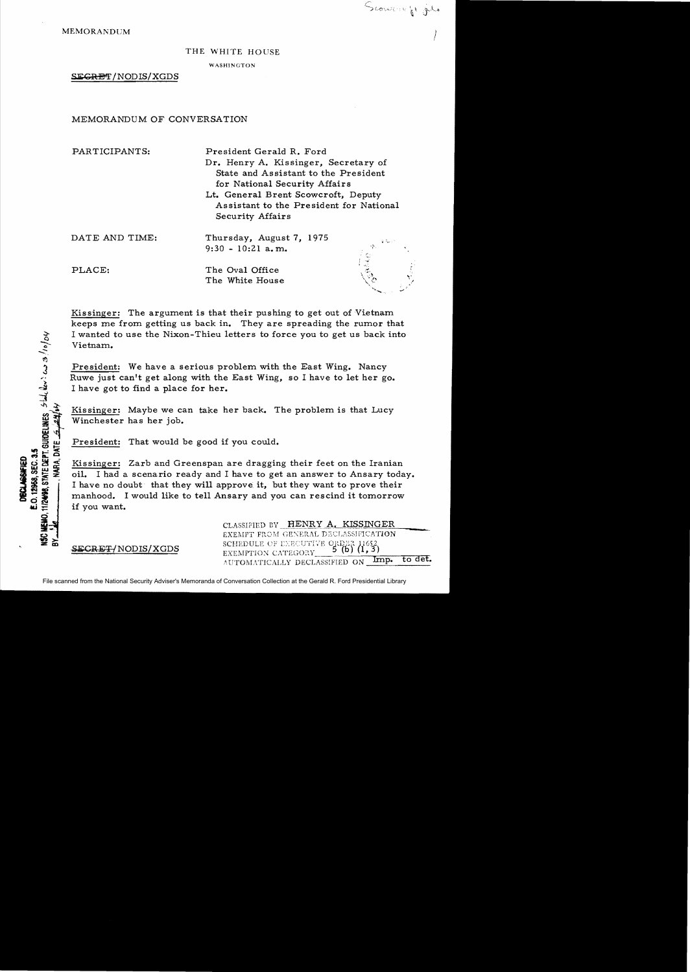PLACE:

NARA. DATE 5 2416

E.O. 12968, SEC. 3.5 **DECLASSIFIED** 

ISC HEMO.

## THE WHITE HOUSE

*J* 

Scoutting & ju

WASHINGTON

SEGRET/NODIS/XGDS

MEMORANDUM OF CONVERSATION

PARTICIPANTS: DATE AND TIME: President Gerald R. Ford Dr. Henry A. Kissinger, Secretary of State and Assistant to the President for National Security Affairs Lt. General Brent Scowcroft, Deputy Assistant to the President for National Security Affairs Thursday, August 7, 1975  $9:30 - 10:21$  a.m.

> The Oval Office The White House

Kissinger: The argument is that their pushing to get out of Vietnam keeps me from getting us back in. They are spreading the rumor that Vietnam.

President: We have a serious problem with the East Wing. Nancy Ruwe just can't get along with the East Wing, so I have to let her go. I have got to find a place for her.

Kissinger: Maybe we can take her back. The problem is that Lucy Winchester has her job.

President: That would be good if you could.

I wanted to use the Nixon-Thieu letters to force you to get us back into<br>
Vietnam.<br>
Yietnam.<br>
The Vietnam.<br>
The Vietnam.<br>
The Vietnam of Rive is a serious problem with the East Wing. Nancy<br>
Rive just can't get along with t Kissinger: Zarb and Greenspan are dragging their feet on the Iranian oil. I had a scenario ready and I have to get an answer to Ansary today. I have no doubt that they will approve it, but they want to prove their manhood. I would like to tell Ansary and you can rescind it tomorrow if you want.

SECRET/NODIS/XGDS

CLASSIFIED BY HENRY A. KISSINGER EXEMPT FROM GENERAL DECLASSIFICATION SCHEDULE OF ENECUTIVE ORDER 11652<br>EXEMPTION CATEGORY 5 (b) (1,3) AUTOMATICALLY DECLASSIFIED ON Imp. to det.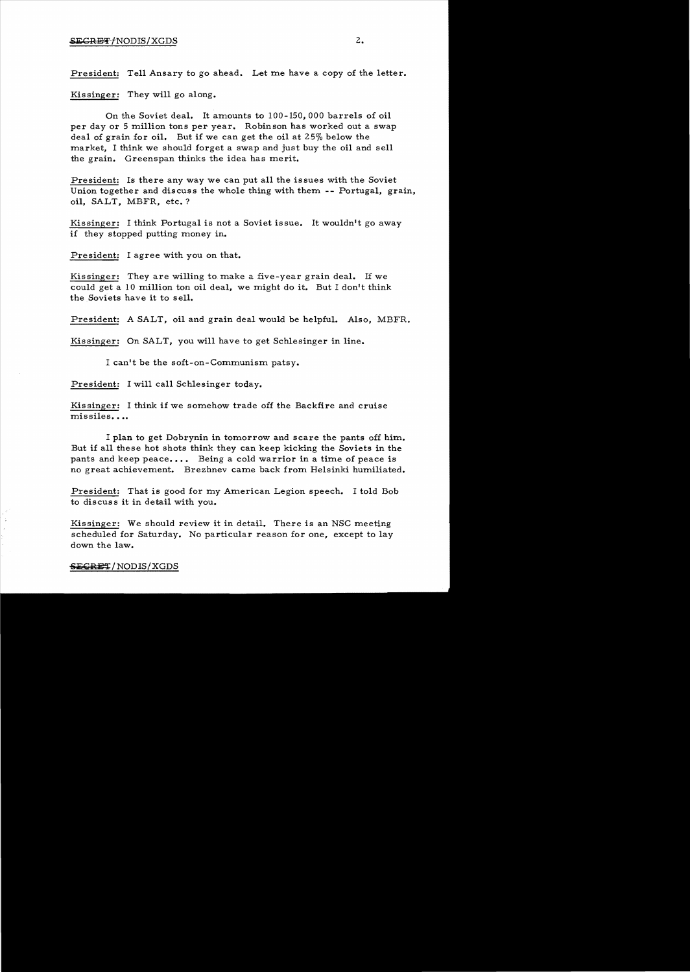# $SEGREFT/NODIS/XGDS$  2.

President: Tell Ansary to go ahead. Let me have a copy of the letter.

Kissinger: They will go along.

On the Soviet deal. It amounts to 100-150,000 barrels of oil per day or 5 million tons per year. Robinson has worked out a swap deal of grain for oil. But if we can get the oil at 25% below the market, I think we should forget a swap and just buy the oil and sell the grain. Greenspan thinks the idea has merit.

President: Is there any way we can put all the issues with the Soviet Union together and discuss the whole thing with them -- Portugal, grain, oil, SALT, MBFR, etc.?

Kissinger: I think Portugal is not a Soviet issue. It wouldn't go away if they stopped putting money in.

President: I agree with you on that.

Kissinger: They are willing to. make a five-year grain deal. If we could get a 10 million ton oil deal, we might do it. But I don't think the Soviets have it to sell.

President: A SALT, oil and grain deal would be helpful. Also, MBFR.

Kissinger: On SALT, you will have to get Schlesinger in line.

I can't be the soft-on-Communism patsy.

President: I will call Schlesinger today.

Kissinger: I think if we somehow trade off the Backfire and cruise  $missiles...$ 

I plan to get Dobrynin in tomorrow and scare the pants off him. But if all these hot shots think they can keep kicking the Soviets in the pants and keep peace.... Being a cold warrior in a time of peace is no great achievement. Brezhnev carne back from Helsinki humiliated.

President: That is good for my American Legion speech. I told Bob to discuss it in detail with you.

Kissinger: We should review it in detail. There is an NSC meeting scheduled for Saturday. No particular reason for one, except to lay down the law.

#### SEGRET/NODIS/XGDS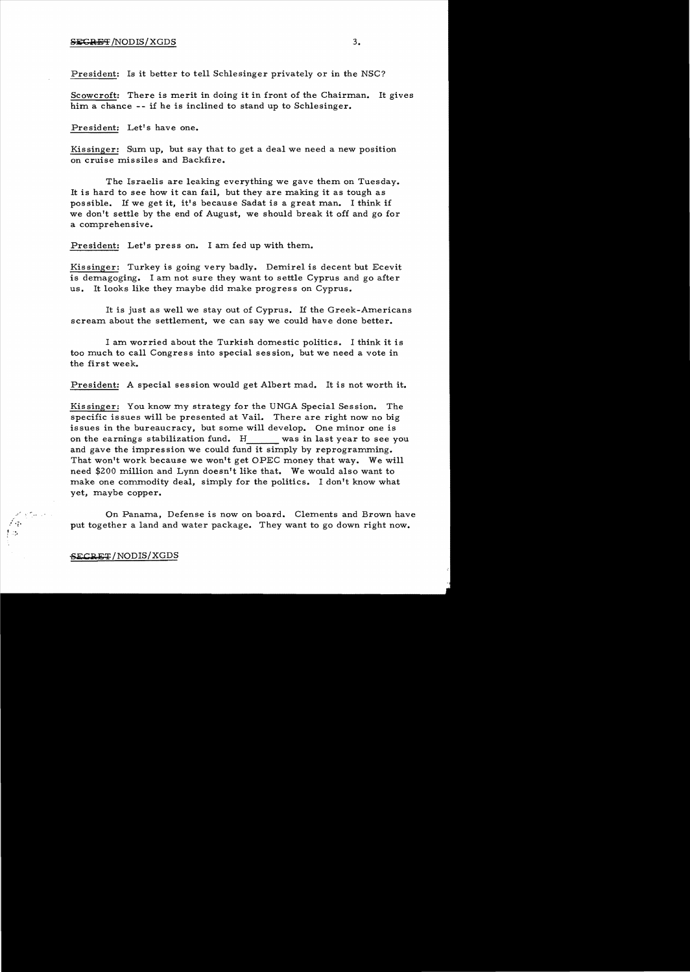## SECRET/NODIS/XGDS 3.

President: Is it better to tell Schlesinger privately or in the NSC?

Scowcroft: There is merit in doing it in front of the Chairman. It gives him a chance -- if he is inclined to stand up to Schlesinger.

President: Let's have one.

Kissinger: Sum up, but say that to get a deal we need a new position on cruise missiles and Backfire.

The Israelis are leaking everything we gave them on Tuesday. It is hard to see how it can fail, but they are making it as tough as possible. If we get it, it's because Sadat is a great man. I think if we don't settle by the end of August, we should break it off and go for a comprehensive.

President: Let's press on. I am fed up with them.

Kissinger: Turkey is going very badly. Demirel is decent but Ecevit is demagoging. I am not sure they want to settle Cyprus and go after us. It looks like they maybe did make progress on Cyprus.

It is just as well we stay out of Cyprus. If the Greek-Americans scream about the settlement, we can say we could have done better.

I am worried about the Turkish domestic politics. I think it is too much to call Congress into special session, but we need a vote in the first week.

President: A special session would get Albert mad. It is not worth it.

Kissinger: You know my strategy for the UNGA Special Session. The specific issues will be presented at Vail. There are right now no big issues in the bureaucracy, but some will develop. One minor one is on the earnings stabilization fund. H was in last year to see you and gave the impression we could fund it simply by reprogramming. That won't work because we won't get OPEC money that way. We will need \$200 million and Lynn doesn't like that. We would also want to make one commodity deal, simply for the politics. I don't know what yet, maybe copper.

On Panama, Defense is now on board. Clements and Brown have put together a land and water package. They want to go down right now.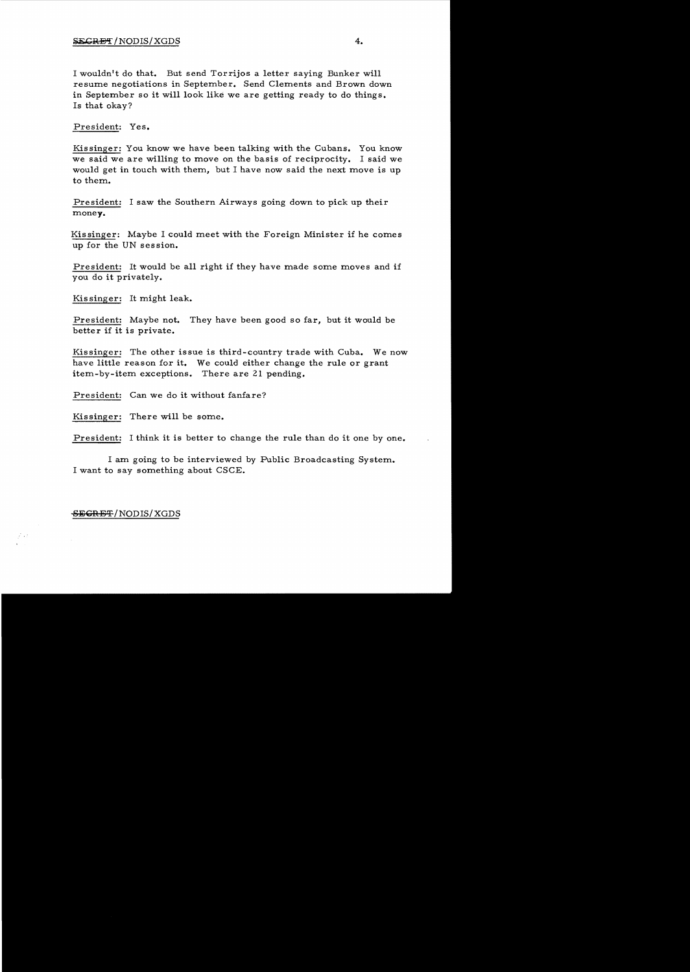I wouldn't do that. But send Torrijos a letter saying Bunker will resume negotiations in September. Send Clements and Brown down in September so it will look like we are getting ready to do things. Is that okay?

President: Yes.

Kissinger: You know we have been talking with the Cubans. You know we said we are willing to move on the basis of reciprocity. I said we would get in touch with them, but I have now said the next move is up to them.

President: I saw the Southern Airways going down to pick up their money.

Kissinger: Maybe I could meet with the Foreign Minister if he comes up for the UN session.

President: It would be all right if they have made some moves and if you do it privately.

Kissinger: It might leak.

President: Maybe not. They have been good so far, but it would be better if it is private.

Kissinger: The other issue is third-country trade with Cuba. We now have little reason for it. We could either change the rule or grant item-by-item exceptions. There are 21 pending.

President: Can we do it without fanfare?

Kissinger: There will be some.

President: I think it is better to change the rule than do it one by one.

I am going to be interviewed by Public Broadcasting System. I want to say something about CSCE.

## SEGRET/NODIS/XGDS

 $\vec{r} \rightarrow \vec{r}$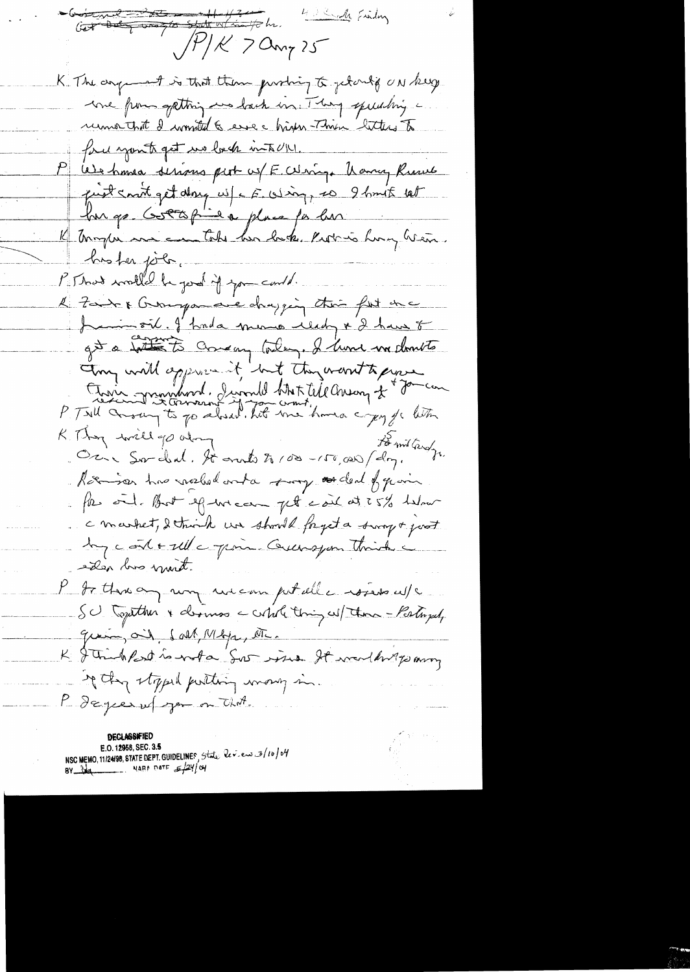Contrat the sent which he 4 Sindly Finding  $\beta/k$  7 amy 25 K. The anguint is that them probing to get only ON keep une from getting we lack un. They speculing runner that I wonted & esse high This litters to force youth get us look into UN. P We have serious pert w/ E. Whip Kang Ruws just cont get day w/c E. Wing, so I have let hur go Gottopie'a place far hur K Tomplin me can take her lack. Put is hong hear. busher john. P. That would be good if you could. l'Isn't Bonque avec chaping this fut the Jumseil. J'hada mono ulady & have t gt a tothe to comeany today. I have in domits try will approved that they want to prove Etoire grandword, Jevand White Cheang of Journal K. Though will go along Oci Sordal. It auto to 100 - 150,000 (do). Roomson has northed onta sorry as deal of quan . Por oil fort efter and the cond at 5% helmer C market, detroik un should fryst a surge of post by contactle point Guerayon Think siden lors mint. P to there any we can petalle rosers w/c Sc. Together & dermos a copile thing wil there - Postugal, grain, oil, sall, Mbys, AT. K J Trinkfort is nota Sur issue It wouldn't parry of they stopped putting many in. P degree up you on that.

**DECLASSIFIE** E.O. 12958, SEC. 3.5 NSC MEMO, 11/24/98, STATE DEPT. GUIDELINES, State leves 3/10/04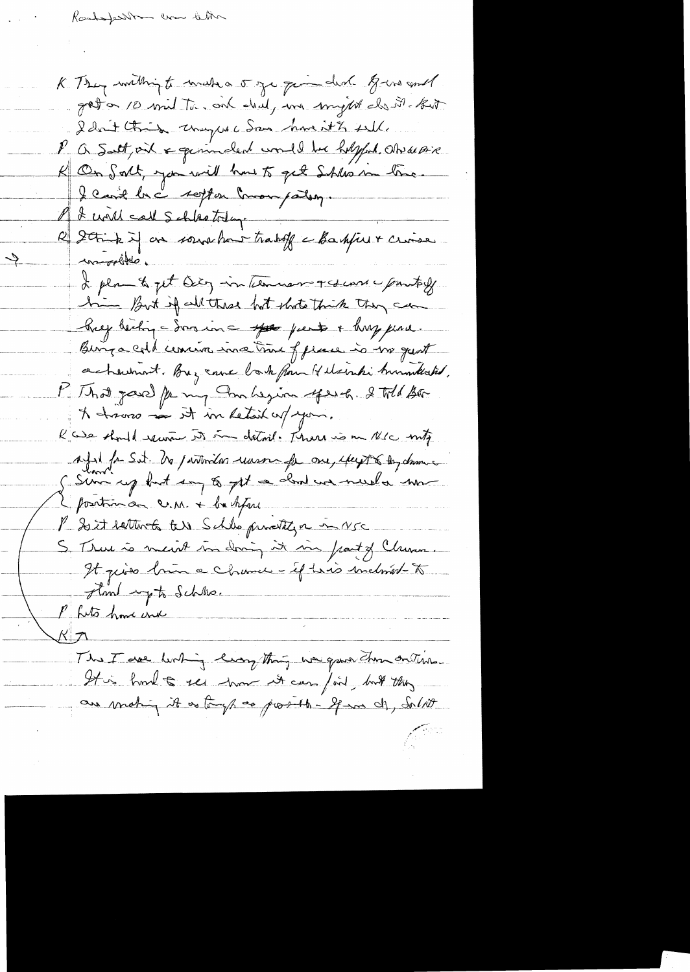$\rightarrow$ 

K. They willhight wish a 5 ge que deal gives and gator 10 mil Tu on dral, un might de il 6. I don't think way we San has it to sall. V a Satt oil & generaled would be helpful atrace K On Salt, you will have to get Shles in line I can't be a soft on commanding. I will call Schlestolage R Strick if an soundare trabit a Baskfielt croise comprehisto I plan to get being in termisman and use pointiff him But if all these but shots think they can Key being - Som in a sport parts + huy pine. Binga cold comin ina time of prace is no quot achement. Buy came to be from It elsember burnwheretod, Mithat jour fe my Ambezion your 2 Wil Bo A havro in it in Letail upon. R we should receive it in detril. There is an N/c mitz Afril for Set. No partonidas una fa one, efect & Day dame I sure up but say to get a dond we need a some I position on c.m. + bu hful P Soit ratter to Schles prendty a more S. True à meint midning it in front of Chemi. It quies brûn a chance - if his inclused to stand up to Schles. P fits how und This I are linking lingthing we gave then onthe It is hout to see those it can fail, but they are making it as tough as prosible - If in di, Solit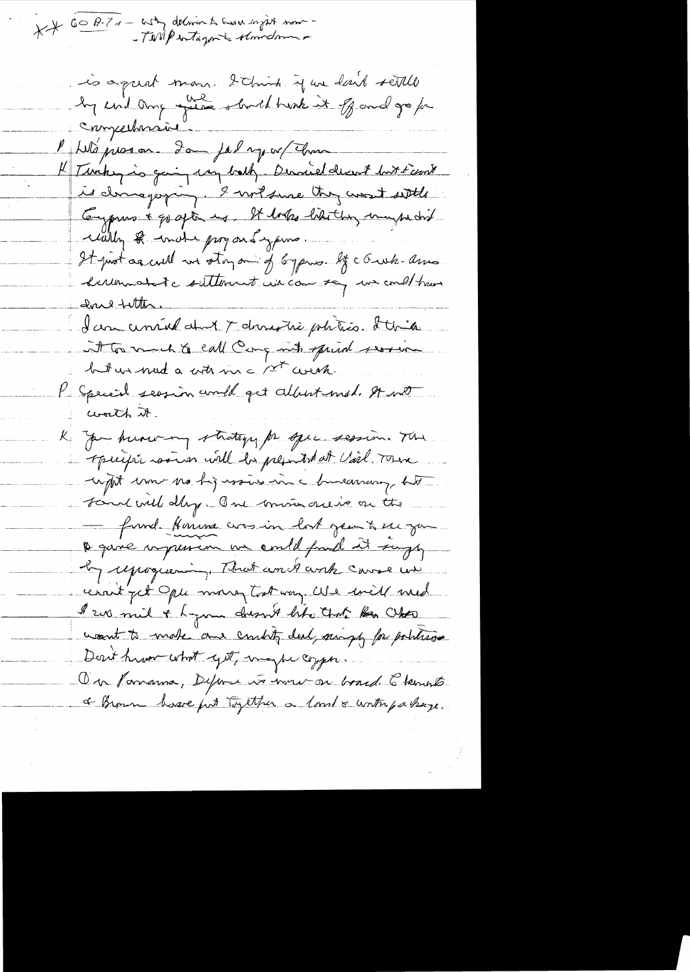XX 60 A-7 - asky delivered to move wight now

is a quat mon 2 chin que dont settle compertamine "With present Lom jal my or (Than K Timbey is going my bally. Dernied decent but Frank is clamage ping. I wil since they want with Compris & go after us. It looks like they maybe did wally & inclu proyous yours. It protocacult in storp - of bypins. If c Gusk-amo derunnatate suttenut un can say un could train Ine fitter. I can certained about 7 demonstré polities. It tries int to much to earl Comparet sprint service but un nud a costrain a 1st create. P Special seasion would get albert med. And worth it. K you huowing strategy for spec session. The operific some will be presented at Vil Town capit une no higursine in a bureaucy tit Form will day. But mine reise on the fund Honma consin lort jeu te su jou a gave imprison un amble fuill sit surge by reprograming. That and and carse we unit get Ople marry took way. We will med \$ 200 mil + hymn doesn't like that for Chose wount to make and country deal, might for political Derit hum what yet, maybe copper. On Pomanna, Deferme va mour on board. Elements I known have just together a lovel & worth passage.